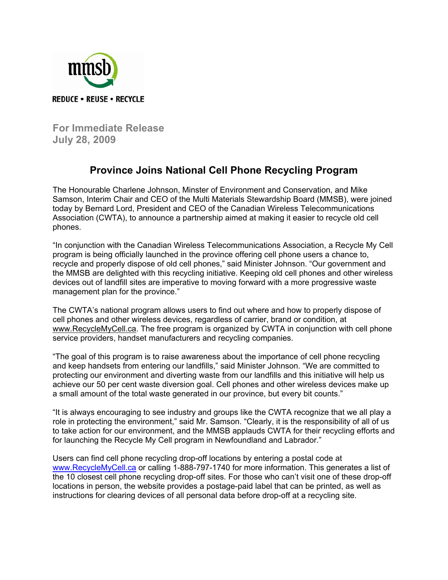

**For Immediate Release July 28, 2009** 

## **Province Joins National Cell Phone Recycling Program**

The Honourable Charlene Johnson, Minster of Environment and Conservation, and Mike Samson, Interim Chair and CEO of the Multi Materials Stewardship Board (MMSB), were joined today by Bernard Lord, President and CEO of the Canadian Wireless Telecommunications Association (CWTA), to announce a partnership aimed at making it easier to recycle old cell phones.

"In conjunction with the Canadian Wireless Telecommunications Association, a Recycle My Cell program is being officially launched in the province offering cell phone users a chance to, recycle and properly dispose of old cell phones," said Minister Johnson. "Our government and the MMSB are delighted with this recycling initiative. Keeping old cell phones and other wireless devices out of landfill sites are imperative to moving forward with a more progressive waste management plan for the province."

The CWTA's national program allows users to find out where and how to properly dispose of cell phones and other wireless devices, regardless of carrier, brand or condition, at www.RecycleMyCell.ca. The free program is organized by CWTA in conjunction with cell phone service providers, handset manufacturers and recycling companies.

"The goal of this program is to raise awareness about the importance of cell phone recycling and keep handsets from entering our landfills," said Minister Johnson. "We are committed to protecting our environment and diverting waste from our landfills and this initiative will help us achieve our 50 per cent waste diversion goal. Cell phones and other wireless devices make up a small amount of the total waste generated in our province, but every bit counts."

"It is always encouraging to see industry and groups like the CWTA recognize that we all play a role in protecting the environment," said Mr. Samson. "Clearly, it is the responsibility of all of us to take action for our environment, and the MMSB applauds CWTA for their recycling efforts and for launching the Recycle My Cell program in Newfoundland and Labrador."

Users can find cell phone recycling drop-off locations by entering a postal code at www.RecycleMyCell.ca or calling 1-888-797-1740 for more information. This generates a list of the 10 closest cell phone recycling drop-off sites. For those who can't visit one of these drop-off locations in person, the website provides a postage-paid label that can be printed, as well as instructions for clearing devices of all personal data before drop-off at a recycling site.